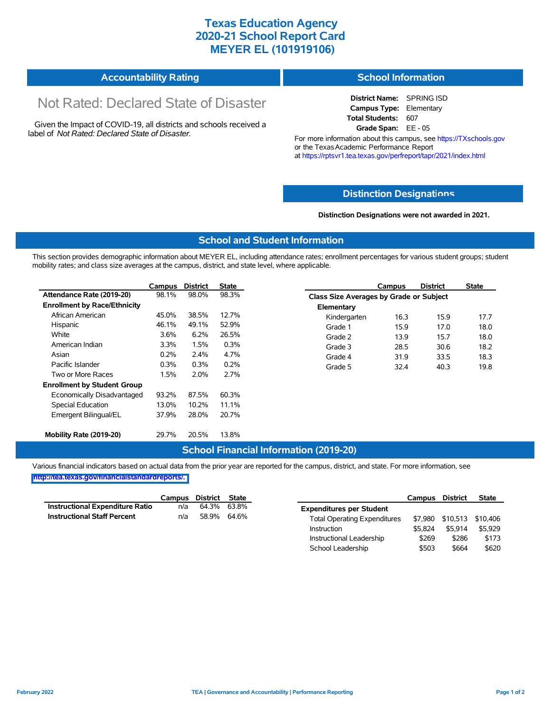## **Texas Education Agency 2020-21 School Report Card MEYER EL (101919106)**

| <b>Accountability Rating</b> | <b>School Information</b> |
|------------------------------|---------------------------|
|------------------------------|---------------------------|

# Not Rated: Declared State of Disaster

Given the Impact of COVID-19, all districts and schools received a label of *Not Rated: Declared State of Disaster.*

**District Name:** SPRING ISD **Campus Type:** Elementary **Total Students:** 607 **Grade Span:** EE - 05

For more information about this campus, see https://TXschools.gov or the Texas Academic Performance Report at https://rptsvr1.tea.texas.gov/perfreport/tapr/2021/index.html

#### **Distinction Designat[ions](https://TXschools.gov)**

**Distinction Designations were not awarded in 2021.**

School Leadership  $$503$  \$664 \$620

#### **School and Student Information**

This section provides demographic information about MEYER EL, including attendance rates; enrollment percentages for various student groups; student mobility rates; and class size averages at the campus, district, and state level, where applicable.

|                                     | Campus  | <b>District</b> | <b>State</b> |              | Campus                                  | <b>District</b> | <b>State</b> |  |  |
|-------------------------------------|---------|-----------------|--------------|--------------|-----------------------------------------|-----------------|--------------|--|--|
| Attendance Rate (2019-20)           | 98.1%   | 98.0%           | 98.3%        |              | Class Size Averages by Grade or Subject |                 |              |  |  |
| <b>Enrollment by Race/Ethnicity</b> |         |                 |              | Elementary   |                                         |                 |              |  |  |
| African American                    | 45.0%   | 38.5%           | 12.7%        | Kindergarten | 16.3                                    | 15.9            | 17.7         |  |  |
| Hispanic                            | 46.1%   | 49.1%           | 52.9%        | Grade 1      | 15.9                                    | 17.0            | 18.0         |  |  |
| White                               | $3.6\%$ | 6.2%            | 26.5%        | Grade 2      | 13.9                                    | 15.7            | 18.0         |  |  |
| American Indian                     | 3.3%    | 1.5%            | 0.3%         | Grade 3      | 28.5                                    | 30.6            | 18.2         |  |  |
| Asian                               | 0.2%    | 2.4%            | 4.7%         | Grade 4      | 31.9                                    | 33.5            | 18.3         |  |  |
| Pacific Islander                    | 0.3%    | 0.3%            | 0.2%         | Grade 5      | 32.4                                    | 40.3            | 19.8         |  |  |
| Two or More Races                   | 1.5%    | 2.0%            | 2.7%         |              |                                         |                 |              |  |  |
| <b>Enrollment by Student Group</b>  |         |                 |              |              |                                         |                 |              |  |  |
| Economically Disadvantaged          | 93.2%   | 87.5%           | 60.3%        |              |                                         |                 |              |  |  |
| Special Education                   | 13.0%   | 10.2%           | 11.1%        |              |                                         |                 |              |  |  |
| Emergent Bilingual/EL               | 37.9%   | 28.0%           | 20.7%        |              |                                         |                 |              |  |  |
|                                     |         |                 |              |              |                                         |                 |              |  |  |
| Mobility Rate (2019-20)             | 29.7%   | 20.5%           | 13.8%        |              |                                         |                 |              |  |  |

#### **School Financial Information (2019-20)**

Various financial indicators based on actual data from the prior year are reported for the campus, district, and state. For more information, see

**[http://tea.texas.gov/financialstandardreports/.](http://tea.texas.gov/financialstandardreports/)**

|                                        | Campus | District | State       |                                     | Campus  | <b>District</b>           | <b>State</b> |
|----------------------------------------|--------|----------|-------------|-------------------------------------|---------|---------------------------|--------------|
| <b>Instructional Expenditure Ratio</b> | n/a    | 64.3%    | 63.8%       | <b>Expenditures per Student</b>     |         |                           |              |
| <b>Instructional Staff Percent</b>     | n/a    |          | 58.9% 64.6% | <b>Total Operating Expenditures</b> |         | \$7,980 \$10,513 \$10,406 |              |
|                                        |        |          |             | Instruction                         | \$5.824 | \$5.914                   | \$5.929      |
|                                        |        |          |             | Instructional Leadership            | \$269   | \$286                     | \$173        |